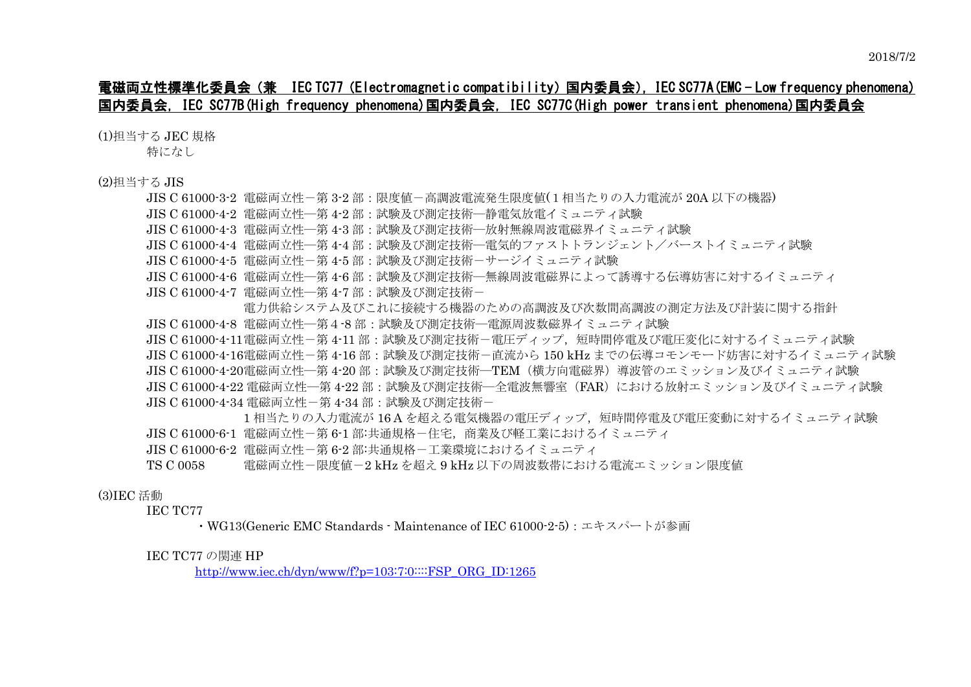# 電磁両立性標準化委員会(兼 IEC TC77(Electromagnetic compatibility)国内委員会),IEC SC77A(EMC - Low frequency phenomena) 国内委員会,IEC SC77B(High frequency phenomena)国内委員会,IEC SC77C(High power transient phenomena)国内委員会

(1)担当する JEC 規格

特になし

(2)担当する JIS

| JIS C 61000-3-2 電磁両立性-第 3-2 部:限度値-高調波電流発生限度値(1 相当たりの入力電流が 20A 以下の機器)                        |
|---------------------------------------------------------------------------------------------|
| JIS C 61000-4-2 電磁両立性―第 4-2 部 : 試験及び測定技術―静電気放電イミュニティ試験                                      |
| JIS C 61000-4-3 電磁両立性─第 4-3 部 : 試験及び測定技術─放射無線周波電磁界イミュニティ試験                                  |
| JIS C 61000-4-4  電磁両立性―第 4-4 部:試験及び測定技術―電気的ファストトランジェント/バーストイミュニティ試験                         |
| JIS C 61000-4-5 電磁両立性-第 4-5 部:試験及び測定技術-サージイミュニティ試験                                          |
| JIS C 61000-4-6 電磁両立性―第 4-6 部 : 試験及び測定技術―無線周波電磁界によって誘導する伝導妨害に対するイミュニティ                      |
| JIS C 61000-4-7 電磁両立性―第 4-7 部 : 試験及び測定技術-                                                   |
| 電力供給システム及びこれに接続する機器のための高調波及び次数間高調波の測定方法及び計装に関する指針                                           |
| JIS C 61000-4-8 電磁両立性―第4-8 部 : 試験及び測定技術―電源周波数磁界イミュニティ試験                                     |
| JIS C 61000-4-11電磁両立性-第 4-11 部:試験及び測定技術-電圧ディップ,短時間停電及び電圧変化に対するイミュニティ試験                      |
| JIS C 61000-4-16電磁両立性-第 4-16 部 : 試験及び測定技術-直流から 150 kHz までの伝導コモンモード妨害に対するイミュニティ試験            |
| JIS C 61000-4-20電磁両立性―第 4-20 部 : 試験及び測定技術―TEM(横方向電磁界)導波管のエミッション及びイミュニティ試験                   |
| JIS C 61000-4-22 電磁両立性―第 4-22 部 : 試験及び測定技術―全電波無響室(FAR)における放射エミッション及びイミュニティ試験                |
| JIS C 61000-4-34 雷磁両立性-第 4-34 部 : 試験及び測定技術-                                                 |
| 1 相当たりの入力電流が 16A を超える電気機器の電圧ディップ, 短時間停電及び電圧変動に対するイミュニティ試験                                   |
| JIS C 61000·6·1 電磁両立性-第 6·1 部:共通規格-住宅,商業及び軽工業におけるイミュニティ                                     |
| JIS C 61000-6-2 電磁両立性-第 6-2 部:共通規格-工業環境におけるイミュニティ                                           |
| 第74章 玉贝,胆虎崖,(111 )新入(111 )字《国海华曲》。《金津三、《史津三<br>$\mathbf{m} \cap \mathbf{m} \cap \mathbf{m}$ |

TS C 0058 電磁両立性-限度値-2 kHz を超え 9 kHz 以下の周波数帯における電流エミッション限度値

## (3)IEC 活動

IEC TC77

・WG13(Generic EMC Standards - Maintenance of IEC 61000-2-5):エキスパートが参画

#### IEC TC77 の関連 HP

[http://www.iec.ch/dyn/www/f?p=103:7:0::::FSP\\_ORG\\_ID:1265](http://www.iec.ch/dyn/www/f?p=103:7:0::::FSP_ORG_ID:1265)